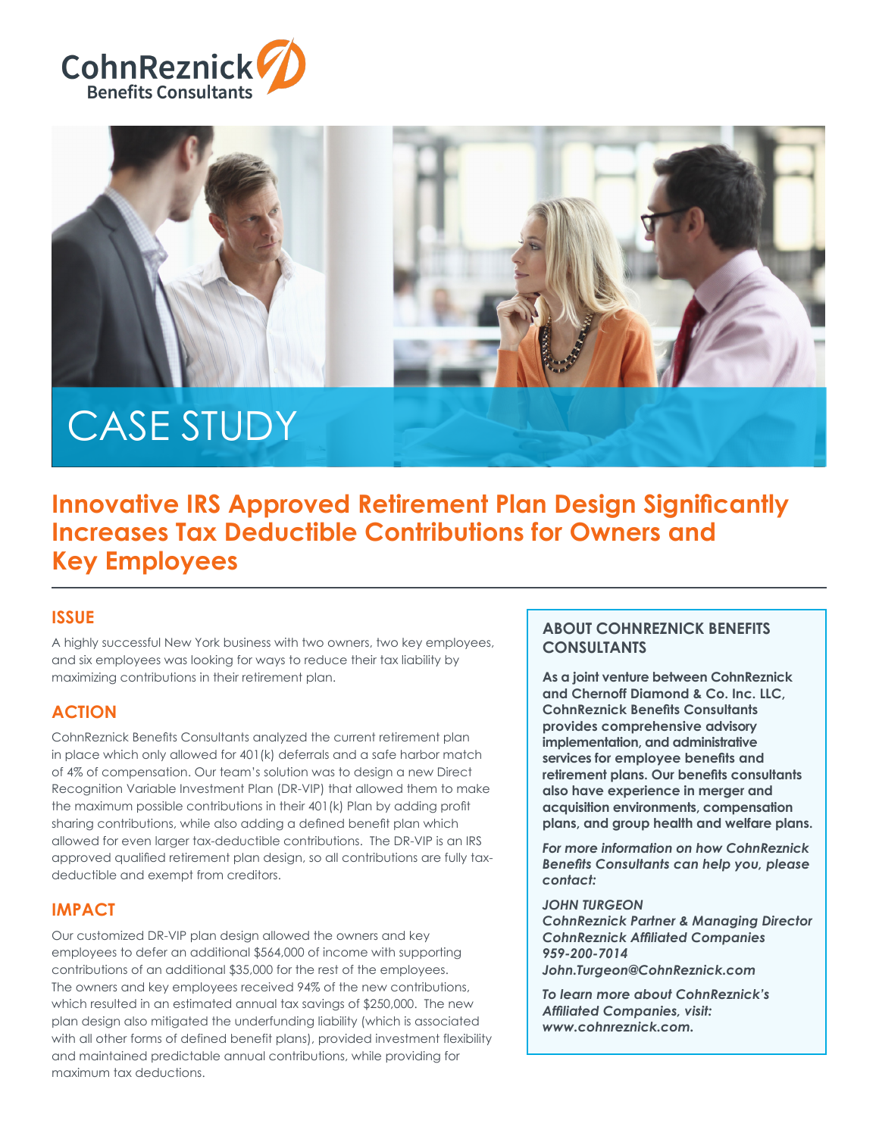





# CASE STUDY

# **Innovative IRS Approved Retirement Plan Design Significantly Increases Tax Deductible Contributions for Owners and Key Employees**

## **ISSUE**

A highly successful New York business with two owners, two key employees, and six employees was looking for ways to reduce their tax liability by maximizing contributions in their retirement plan.

### **ACTION**

CohnReznick Benefits Consultants analyzed the current retirement plan in place which only allowed for 401(k) deferrals and a safe harbor match of 4% of compensation. Our team's solution was to design a new Direct Recognition Variable Investment Plan (DR-VIP) that allowed them to make the maximum possible contributions in their 401(k) Plan by adding profit sharing contributions, while also adding a defined benefit plan which allowed for even larger tax-deductible contributions. The DR-VIP is an IRS approved qualified retirement plan design, so all contributions are fully taxdeductible and exempt from creditors.

#### **IMPACT**

Our customized DR-VIP plan design allowed the owners and key employees to defer an additional \$564,000 of income with supporting contributions of an additional \$35,000 for the rest of the employees. The owners and key employees received 94% of the new contributions, which resulted in an estimated annual tax savings of \$250,000. The new plan design also mitigated the underfunding liability (which is associated with all other forms of defined benefit plans), provided investment flexibility and maintained predictable annual contributions, while providing for maximum tax deductions.

#### **ABOUT COHNREZNICK BENEFITS CONSULTANTS**

**As a joint venture between CohnReznick and Chernoff Diamond & Co. Inc. LLC, CohnReznick Benefits Consultants provides comprehensive advisory implementation, and administrative services for employee benefits and retirement plans. Our benefits consultants also have experience in merger and acquisition environments, compensation plans, and group health and welfare plans.**

*For more information on how CohnReznick Benefits Consultants can help you, please contact:*

#### *JOHN TURGEON*

*CohnReznick Partner & Managing Director CohnReznick Affiliated Companies 959-200-7014 John.Turgeon@CohnReznick.com*

*To learn more about CohnReznick's Affiliated Companies, visit: www.cohnreznick.com.*